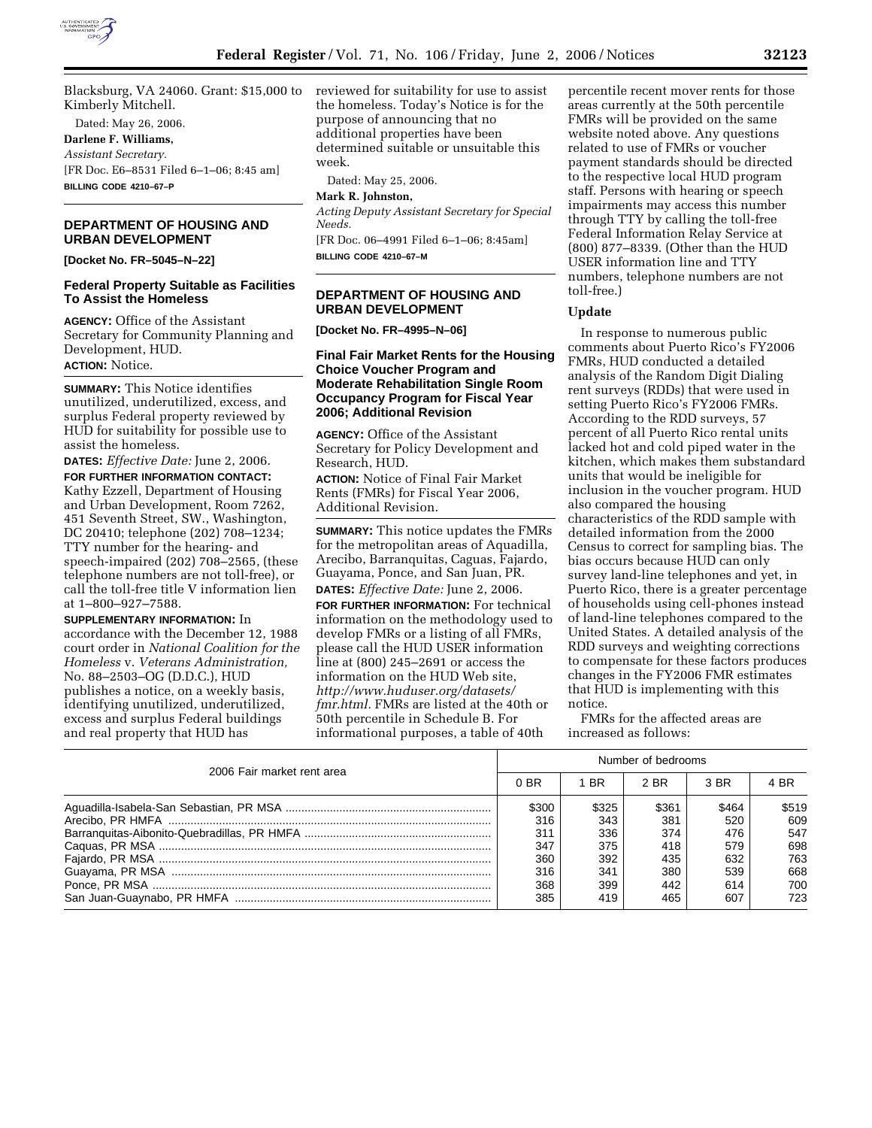

Blacksburg, VA 24060. Grant: \$15,000 to Kimberly Mitchell.

Dated: May 26, 2006. **Darlene F. Williams,**  *Assistant Secretary.*  [FR Doc. E6–8531 Filed 6–1–06; 8:45 am] **BILLING CODE 4210–67–P** 

# **DEPARTMENT OF HOUSING AND URBAN DEVELOPMENT**

**[Docket No. FR–5045–N–22]** 

### **Federal Property Suitable as Facilities To Assist the Homeless**

**AGENCY:** Office of the Assistant Secretary for Community Planning and Development, HUD. **ACTION:** Notice.

**SUMMARY:** This Notice identifies unutilized, underutilized, excess, and surplus Federal property reviewed by HUD for suitability for possible use to assist the homeless.

**DATES:** *Effective Date:* June 2, 2006.

**FOR FURTHER INFORMATION CONTACT:**  Kathy Ezzell, Department of Housing and Urban Development, Room 7262, 451 Seventh Street, SW., Washington, DC 20410; telephone (202) 708–1234; TTY number for the hearing- and speech-impaired (202) 708–2565, (these telephone numbers are not toll-free), or call the toll-free title V information lien at 1–800–927–7588.

**SUPPLEMENTARY INFORMATION:** In accordance with the December 12, 1988 court order in *National Coalition for the Homeless* v. *Veterans Administration,*  No. 88–2503–OG (D.D.C.), HUD publishes a notice, on a weekly basis, identifying unutilized, underutilized, excess and surplus Federal buildings and real property that HUD has

reviewed for suitability for use to assist the homeless. Today's Notice is for the purpose of announcing that no additional properties have been determined suitable or unsuitable this week.

Dated: May 25, 2006.

# **Mark R. Johnston,**

*Acting Deputy Assistant Secretary for Special Needs.* 

[FR Doc. 06–4991 Filed 6–1–06; 8:45am] **BILLING CODE 4210–67–M** 

## **DEPARTMENT OF HOUSING AND URBAN DEVELOPMENT**

**[Docket No. FR–4995–N–06]** 

# **Final Fair Market Rents for the Housing Choice Voucher Program and Moderate Rehabilitation Single Room Occupancy Program for Fiscal Year 2006; Additional Revision**

**AGENCY:** Office of the Assistant Secretary for Policy Development and Research, HUD.

**ACTION:** Notice of Final Fair Market Rents (FMRs) for Fiscal Year 2006, Additional Revision.

**SUMMARY:** This notice updates the FMRs for the metropolitan areas of Aquadilla, Arecibo, Barranquitas, Caguas, Fajardo, Guayama, Ponce, and San Juan, PR. **DATES:** *Effective Date:* June 2, 2006.

**FOR FURTHER INFORMATION:** For technical information on the methodology used to develop FMRs or a listing of all FMRs, please call the HUD USER information line at (800) 245–2691 or access the information on the HUD Web site, *http://www.huduser.org/datasets/ fmr.html.* FMRs are listed at the 40th or 50th percentile in Schedule B. For informational purposes, a table of 40th

percentile recent mover rents for those areas currently at the 50th percentile FMRs will be provided on the same website noted above. Any questions related to use of FMRs or voucher payment standards should be directed to the respective local HUD program staff. Persons with hearing or speech impairments may access this number through TTY by calling the toll-free Federal Information Relay Service at (800) 877–8339. (Other than the HUD USER information line and TTY numbers, telephone numbers are not toll-free.)

## **Update**

In response to numerous public comments about Puerto Rico's FY2006 FMRs, HUD conducted a detailed analysis of the Random Digit Dialing rent surveys (RDDs) that were used in setting Puerto Rico's FY2006 FMRs. According to the RDD surveys, 57 percent of all Puerto Rico rental units lacked hot and cold piped water in the kitchen, which makes them substandard units that would be ineligible for inclusion in the voucher program. HUD also compared the housing characteristics of the RDD sample with detailed information from the 2000 Census to correct for sampling bias. The bias occurs because HUD can only survey land-line telephones and yet, in Puerto Rico, there is a greater percentage of households using cell-phones instead of land-line telephones compared to the United States. A detailed analysis of the RDD surveys and weighting corrections to compensate for these factors produces changes in the FY2006 FMR estimates that HUD is implementing with this notice.

FMRs for the affected areas are increased as follows:

| 2006 Fair market rent area | Number of bedrooms |       |       |       |       |
|----------------------------|--------------------|-------|-------|-------|-------|
|                            | 0 BR               | - BR  | 2 BR  | 3 BR  | 4 BR  |
|                            | \$300              | \$325 | \$361 | \$464 | \$519 |
|                            | 316                | 343   | 381   | 520   | 609   |
|                            | 311                | 336   | 374   | 476   | 547   |
|                            | 347                | 375   | 418   | 579   | 698   |
|                            | 360                | 392   | 435   | 632   | 763   |
|                            | 316                | 341   | 380   | 539   | 668   |
|                            | 368                | 399   | 442   | 614   | 700   |
|                            | 385                | 419   | 465   | 607   | 723   |